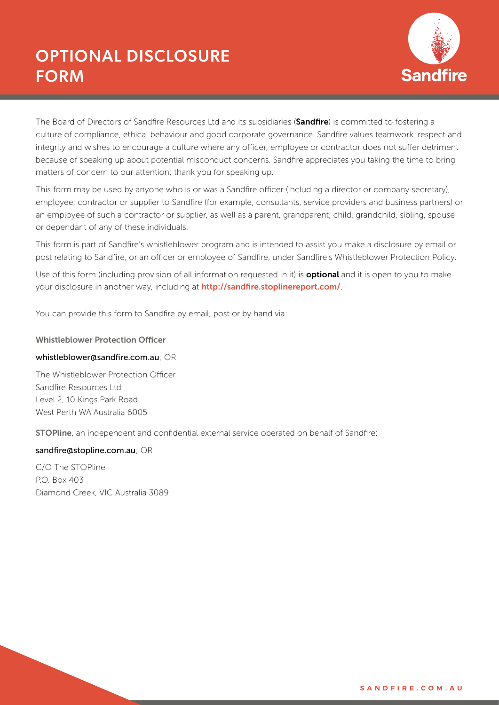

The Board of Directors of Sandfire Resources Ltd and its subsidiaries (Sandfire) is committed to fostering a culture of compliance, ethical behaviour and good corporate governance. Sandfire values teamwork, respect and integrity and wishes to encourage a culture where any officer, employee or contractor does not suffer detriment because of speaking up about potential misconduct concerns. Sandfire appreciates you taking the time to bring matters of concern to our attention; thank you for speaking up.

This form may be used by anyone who is or was a Sandfire officer (including a director or company secretary), employee, contractor or supplier to Sandfire (for example, consultants, service providers and business partners) or an employee of such a contractor or supplier, as well as a parent, grandparent, child, grandchild, sibling, spouse or dependant of any of these individuals.

This form is part of Sandfire's whistleblower program and is intended to assist you make a disclosure by email or post relating to Sandfire, or an officer or employee of Sandfire, under Sandfire's Whistleblower Protection Policy.

Use of this form (including provision of all information requested in it) is **optional** and it is open to you to make your disclosure in another way, including at http://sandfire.stoplinereport.com/.

You can provide this form to Sandfire by email, post or by hand via:

#### Whistleblower Protection Officer

#### whistleblower@sandfire.com.au; OR

The Whistleblower Protection Officer Sandfire Resources Ltd Level 2, 10 Kings Park Road West Perth WA Australia 6005

STOPline, an independent and confidential external service operated on behalf of Sandfire:

#### sandfire@stopline.com.au; OR

C/O The STOPline P.O. Box 403 Diamond Creek, VIC Australia 3089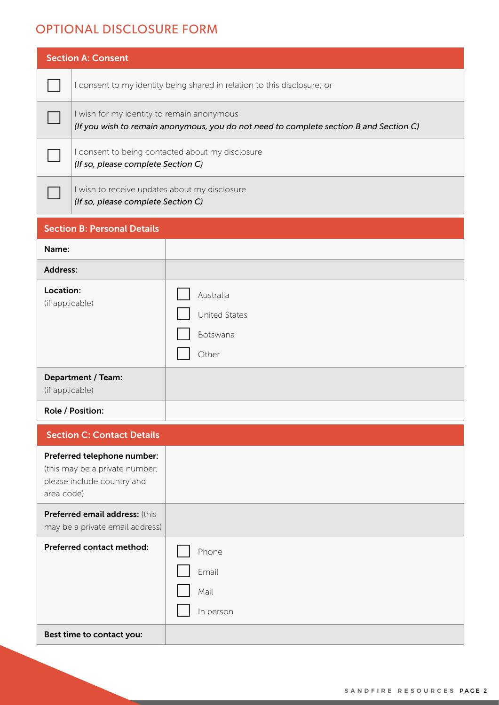|                                                                                                           | <b>Section A: Consent</b>                                                                                                            |                                                 |  |  |  |
|-----------------------------------------------------------------------------------------------------------|--------------------------------------------------------------------------------------------------------------------------------------|-------------------------------------------------|--|--|--|
|                                                                                                           | I consent to my identity being shared in relation to this disclosure; or                                                             |                                                 |  |  |  |
|                                                                                                           | I wish for my identity to remain anonymous<br>(If you wish to remain anonymous, you do not need to complete section B and Section C) |                                                 |  |  |  |
|                                                                                                           | I consent to being contacted about my disclosure<br>(If so, please complete Section C)                                               |                                                 |  |  |  |
|                                                                                                           | I wish to receive updates about my disclosure<br>(If so, please complete Section C)                                                  |                                                 |  |  |  |
| <b>Section B: Personal Details</b>                                                                        |                                                                                                                                      |                                                 |  |  |  |
| Name:                                                                                                     |                                                                                                                                      |                                                 |  |  |  |
| <b>Address:</b>                                                                                           |                                                                                                                                      |                                                 |  |  |  |
| Location:<br>(if applicable)                                                                              |                                                                                                                                      | Australia<br>United States<br>Botswana<br>Other |  |  |  |
| Department / Team:<br>(if applicable)                                                                     |                                                                                                                                      |                                                 |  |  |  |
| Role / Position:                                                                                          |                                                                                                                                      |                                                 |  |  |  |
| <b>Section C: Contact Details</b>                                                                         |                                                                                                                                      |                                                 |  |  |  |
| Preferred telephone number:<br>(this may be a private number;<br>please include country and<br>area code) |                                                                                                                                      |                                                 |  |  |  |
| Preferred email address: (this<br>may be a private email address)                                         |                                                                                                                                      |                                                 |  |  |  |
| Preferred contact method:<br>Best time to contact you:                                                    |                                                                                                                                      | Phone<br>Email<br>Mail<br>In person             |  |  |  |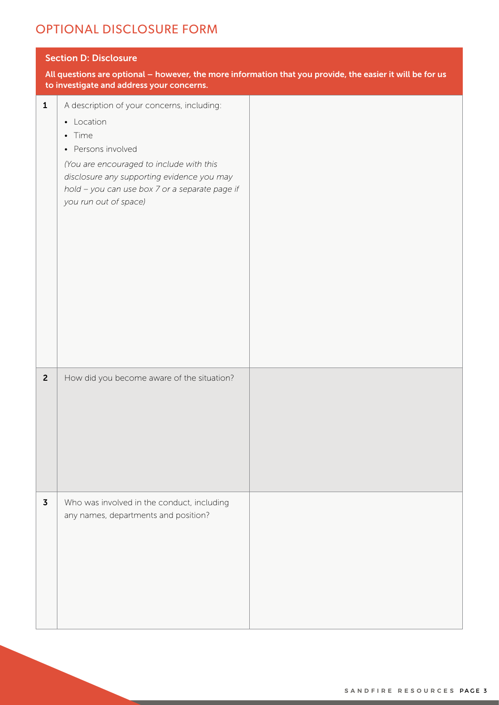| <b>Section D: Disclosure</b><br>All questions are optional - however, the more information that you provide, the easier it will be for us |                                                                                                                                                                                                                                                               |  |  |  |
|-------------------------------------------------------------------------------------------------------------------------------------------|---------------------------------------------------------------------------------------------------------------------------------------------------------------------------------------------------------------------------------------------------------------|--|--|--|
|                                                                                                                                           | to investigate and address your concerns.                                                                                                                                                                                                                     |  |  |  |
| $\mathbf{1}$                                                                                                                              | A description of your concerns, including:<br>• Location<br>• Time<br>• Persons involved<br>(You are encouraged to include with this<br>disclosure any supporting evidence you may<br>hold - you can use box 7 or a separate page if<br>you run out of space) |  |  |  |
| $\overline{2}$                                                                                                                            | How did you become aware of the situation?                                                                                                                                                                                                                    |  |  |  |
| $\overline{\mathbf{3}}$                                                                                                                   | Who was involved in the conduct, including<br>any names, departments and position?                                                                                                                                                                            |  |  |  |